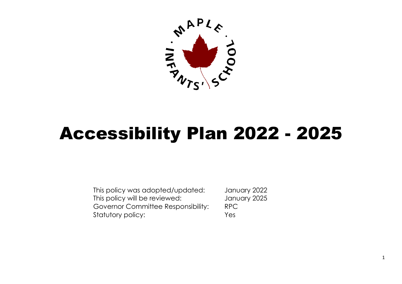

# Accessibility Plan 2022 - 2025

This policy was adopted/updated: January 2022 This policy will be reviewed: January 2025 Governor Committee Responsibility: RPC Statutory policy: The Mass of the Yes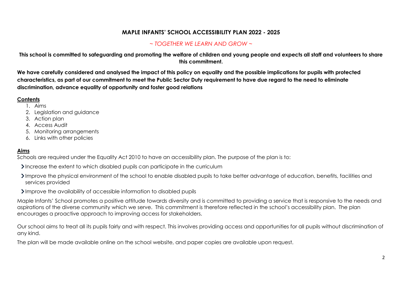# **MAPLE INFANTS' SCHOOL ACCESSIBILITY PLAN 2022 - 2025**

## *~ TOGETHER WE LEARN AND GROW ~*

**This school is committed to safeguarding and promoting the welfare of children and young people and expects all staff and volunteers to share this commitment.**

**We have carefully considered and analysed the impact of this policy on equality and the possible implications for pupils with protected characteristics, as part of our commitment to meet the Public Sector Duty requirement to have due regard to the need to eliminate discrimination, advance equality of opportunity and foster good relations**

## **Contents**

- 1. Aims
- 2. Legislation and guidance
- 3. Action plan
- 4. Access Audit
- 5. Monitoring arrangements
- 6. Links with other policies

# **Aims**

Schools are required under the Equality Act 2010 to have an accessibility plan. The purpose of the plan is to:

- Increase the extent to which disabled pupils can participate in the curriculum
- Improve the physical environment of the school to enable disabled pupils to take better advantage of education, benefits, facilities and services provided
- Improve the availability of accessible information to disabled pupils

Maple Infants' School promotes a positive attitude towards diversity and is committed to providing a service that is responsive to the needs and aspirations of the diverse community which we serve. This commitment is therefore reflected in the school's accessibility plan. The plan encourages a proactive approach to improving access for stakeholders.

Our school aims to treat all its pupils fairly and with respect. This involves providing access and opportunities for all pupils without discrimination of any kind.

The plan will be made available online on the school website, and paper copies are available upon request.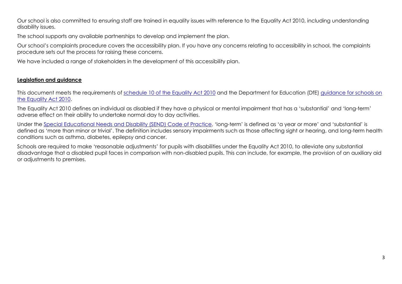Our school is also committed to ensuring staff are trained in equality issues with reference to the Equality Act 2010, including understanding disability issues.

The school supports any available partnerships to develop and implement the plan.

Our school's complaints procedure covers the accessibility plan. If you have any concerns relating to accessibility in school, the complaints procedure sets out the process for raising these concerns.

We have included a range of stakeholders in the development of this accessibility plan.

## **Legislation and guidance**

This document meets the requirements of [schedule 10 of the Equality Act 2010](http://www.legislation.gov.uk/ukpga/2010/15/schedule/10) and the Department for Education (DfE) [guidance for schools on](https://www.gov.uk/government/publications/equality-act-2010-advice-for-schools)  [the Equality Act 2010.](https://www.gov.uk/government/publications/equality-act-2010-advice-for-schools)

The Equality Act 2010 defines an individual as disabled if they have a physical or mental impairment that has a 'substantial' and 'long-term' adverse effect on their ability to undertake normal day to day activities.

Under the [Special Educational Needs and Disability \(SEND\) Code of Practice](https://www.gov.uk/government/publications/send-code-of-practice-0-to-25), 'long-term' is defined as 'a year or more' and 'substantial' is defined as 'more than minor or trivial'. The definition includes sensory impairments such as those affecting sight or hearing, and long-term health conditions such as asthma, diabetes, epilepsy and cancer.

Schools are required to make 'reasonable adjustments' for pupils with disabilities under the Equality Act 2010, to alleviate any substantial disadvantage that a disabled pupil faces in comparison with non-disabled pupils. This can include, for example, the provision of an auxiliary aid or adjustments to premises.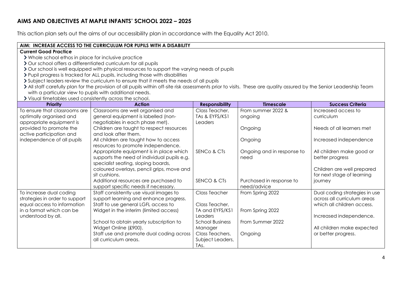# **AIMS AND OBJECTIVES AT MAPLE INFANTS' SCHOOL 2022 – 2025**

This action plan sets out the aims of our accessibility plan in accordance with the Equality Act 2010.

|                                                          | AIM: INCREASE ACCESS TO THE CURRICULUM FOR PUPILS WITH A DISABILITY                                                                                                  |                        |                            |                               |
|----------------------------------------------------------|----------------------------------------------------------------------------------------------------------------------------------------------------------------------|------------------------|----------------------------|-------------------------------|
| <b>Current Good Practice</b>                             |                                                                                                                                                                      |                        |                            |                               |
| > Whole school ethos in place for inclusive practice     |                                                                                                                                                                      |                        |                            |                               |
|                                                          | > Our school offers a differentiated curriculum for all pupils                                                                                                       |                        |                            |                               |
|                                                          | > Our school is well equipped with physical resources to support the varying needs of pupils                                                                         |                        |                            |                               |
|                                                          | > Pupil progress is tracked for ALL pupils, including those with disabilities                                                                                        |                        |                            |                               |
|                                                          | Subject leaders review the curriculum to ensure that it meets the needs of all pupils                                                                                |                        |                            |                               |
|                                                          | > All staff carefully plan for the provision of all pupils within off-site risk assessments prior to visits. These are quality assured by the Senior Leadership Team |                        |                            |                               |
| with a particular view to pupils with additional needs.  |                                                                                                                                                                      |                        |                            |                               |
| > Visual timetables used consistently across the school. |                                                                                                                                                                      |                        |                            |                               |
| <b>Priority</b>                                          | <b>Action</b>                                                                                                                                                        | <b>Responsibility</b>  | <b>Timescale</b>           | <b>Success Criteria</b>       |
| To ensure that classrooms are                            | Classrooms are well organised and                                                                                                                                    | Class Teacher,         | From summer 2022 &         | Increased access to           |
| optimally organised and                                  | general equipment is labelled (non-                                                                                                                                  | TAs & EYFS/KS1         | ongoing                    | curriculum                    |
| appropriate equipment is                                 | negotiables in each phase met).                                                                                                                                      | Leaders                |                            |                               |
| provided to promote the                                  | Children are taught to respect resources                                                                                                                             |                        | Ongoing                    | Needs of all learners met     |
| active participation and                                 | and look after them.                                                                                                                                                 |                        |                            |                               |
| independence of all pupils                               | All children are taught how to access                                                                                                                                |                        | Ongoing                    | Increased independence        |
|                                                          | resources to promote independence.                                                                                                                                   |                        |                            |                               |
|                                                          | Appropriate equipment is in place which                                                                                                                              | <b>SENCo &amp; CTs</b> | Ongoing and in response to | All children make good or     |
|                                                          | supports the need of individual pupils e.g.                                                                                                                          |                        | need                       | better progress               |
|                                                          | specialist seating, sloping boards,                                                                                                                                  |                        |                            |                               |
|                                                          | coloured overlays, pencil grips, move and                                                                                                                            |                        |                            | Children are well prepared    |
|                                                          | sit cushions.                                                                                                                                                        |                        |                            | for next stage of learning    |
|                                                          | Additional resources are purchased to                                                                                                                                | SENCO & CTs            | Purchased in response to   | journey                       |
|                                                          | support specific needs if necessary.                                                                                                                                 |                        | need/advice                |                               |
| To increase dual coding                                  | Staff consistently use visual images to                                                                                                                              | Class Teacher          | From Spring 2022           | Dual coding strategies in use |
| strategies in order to support                           | support learning and enhance progress.                                                                                                                               |                        |                            | across all curriculum areas   |
| equal access to information                              | Staff to use general LGFL access to                                                                                                                                  | Class Teacher,         |                            | which all children access.    |
| in a format which can be                                 | Widget in the interim (limited access)                                                                                                                               | TA and EYFS/KS1        | From Spring 2022           |                               |
| understood by all.                                       |                                                                                                                                                                      | Leaders                |                            | Increased independence.       |
|                                                          | School to obtain yearly subscription to                                                                                                                              | <b>School Business</b> | From Summer 2022           |                               |
|                                                          | Widget Online (£900).                                                                                                                                                | Manager                |                            | All children make expected    |
|                                                          | Staff use and promote dual coding across                                                                                                                             | Class Teachers,        | Ongoing                    | or better progress.           |
|                                                          | all curriculum areas.                                                                                                                                                | Subject Leaders,       |                            |                               |
|                                                          |                                                                                                                                                                      | TAs.                   |                            |                               |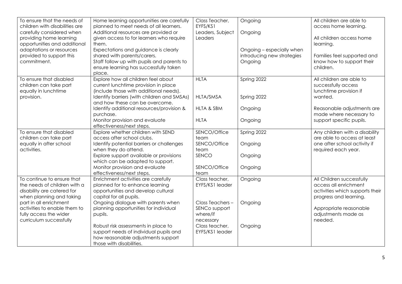| To ensure that the needs of<br>children with disabilities are<br>carefully considered when<br>providing home learning<br>opportunities and additional<br>adaptations or resources<br>provided to support this<br>commitment. | Home learning opportunities are carefully<br>planned to meet needs of all learners.<br>Additional resources are provided or<br>given access to for learners who require<br>them.<br>Expectations and guidance is clearly<br>shared with parents/carers.<br>Staff follow up with pupils and parents to | Class Teacher,<br>EYFS/KS1<br>Leaders, Subject<br>Leaders | Ongoing<br>Ongoing<br>Ongoing - especially when<br>introducing new strategies<br>Ongoing | All children are able to<br>access home learning.<br>All children access home<br>learning.<br>Families feel supported and<br>know how to support their |
|------------------------------------------------------------------------------------------------------------------------------------------------------------------------------------------------------------------------------|-------------------------------------------------------------------------------------------------------------------------------------------------------------------------------------------------------------------------------------------------------------------------------------------------------|-----------------------------------------------------------|------------------------------------------------------------------------------------------|--------------------------------------------------------------------------------------------------------------------------------------------------------|
|                                                                                                                                                                                                                              | ensure learning has successfully taken<br>place.                                                                                                                                                                                                                                                      |                                                           |                                                                                          | children.                                                                                                                                              |
| To ensure that disabled<br>children can take part<br>equally in lunchtime                                                                                                                                                    | Explore how all children feel about<br>current lunchtime provision in place<br>(include those with additional needs).                                                                                                                                                                                 | <b>HLTA</b>                                               | Spring 2022                                                                              | All children are able to<br>successfully access<br>lunchtime provision if                                                                              |
| provision.                                                                                                                                                                                                                   | Identify barriers (with children and SMSAs)<br>and how these can be overcome.                                                                                                                                                                                                                         | HLTA/SMSA                                                 | Spring 2022                                                                              | wanted.                                                                                                                                                |
|                                                                                                                                                                                                                              | Identify additional resources/provision &<br>purchase.                                                                                                                                                                                                                                                | <b>HLTA &amp; SBM</b>                                     | Ongoing                                                                                  | Reasonable adjustments are<br>made where necessary to                                                                                                  |
|                                                                                                                                                                                                                              | Monitor provision and evaluate<br>effectiveness/next steps.                                                                                                                                                                                                                                           | <b>HLTA</b>                                               | Ongoing                                                                                  | support specific pupils.                                                                                                                               |
| To ensure that disabled<br>children can take part                                                                                                                                                                            | Explore whether children with SEND<br>access after school clubs.                                                                                                                                                                                                                                      | SENCO/Office<br>team                                      | Spring 2022                                                                              | Any children with a disability<br>are able to access at least                                                                                          |
| equally in after school<br>activities.                                                                                                                                                                                       | Identify potential barriers or challenges<br>when they do attend.                                                                                                                                                                                                                                     | SENCO/Office<br>team                                      | Ongoing                                                                                  | one after school activity if<br>required each year.                                                                                                    |
|                                                                                                                                                                                                                              | Explore support available or provisions<br>which can be adapted to support.                                                                                                                                                                                                                           | SENCO                                                     | Ongoing                                                                                  |                                                                                                                                                        |
|                                                                                                                                                                                                                              | Monitor provision and evaluate<br>effectiveness/next steps.                                                                                                                                                                                                                                           | SENCO/Office<br>team                                      | Ongoing                                                                                  |                                                                                                                                                        |
| To continue to ensure that<br>the needs of children with a<br>disability are catered for<br>when planning and taking                                                                                                         | Enrichment activities are carefully<br>planned for to enhance learning<br>opportunities and develop cultural<br>capital for all pupils.                                                                                                                                                               | Class teacher,<br>EYFS/KS1 leader                         | Ongoing                                                                                  | All Children successfully<br>access all enrichment<br>activities which supports their<br>progress and learning.                                        |
| part in all enrichment                                                                                                                                                                                                       | Ongoing dialogue with parents when                                                                                                                                                                                                                                                                    | Class Teachers -                                          | Ongoing                                                                                  |                                                                                                                                                        |
| activities to enable them to<br>fully access the wider                                                                                                                                                                       | planning opportunities for individual<br>pupils.                                                                                                                                                                                                                                                      | SENCo support<br>where/if                                 |                                                                                          | Appropriate reasonable<br>adjustments made as                                                                                                          |
| curriculum successfully                                                                                                                                                                                                      |                                                                                                                                                                                                                                                                                                       | necessary                                                 |                                                                                          | needed.                                                                                                                                                |
|                                                                                                                                                                                                                              | Robust risk assessments in place to<br>support needs of individual pupils and<br>how reasonable adjustments support<br>those with disabilities.                                                                                                                                                       | Class teacher,<br>EYFS/KS1 leader                         | Ongoing                                                                                  |                                                                                                                                                        |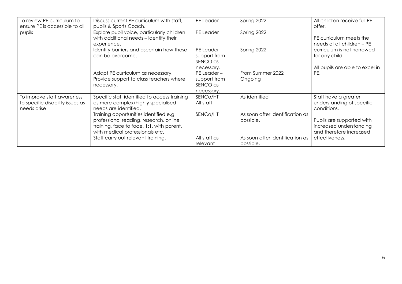| To review PE curriculum to<br>ensure PE is accessible to all                  | Discuss current PE curriculum with staff,<br>pupils & Sports Coach.                                         | PE Leader                   | Spring 2022                                  | All children receive full PE<br>offer.                           |
|-------------------------------------------------------------------------------|-------------------------------------------------------------------------------------------------------------|-----------------------------|----------------------------------------------|------------------------------------------------------------------|
| pupils                                                                        | Explore pupil voice, particularly children<br>with additional needs - identify their                        | PE Leader                   | Spring 2022                                  | PE curriculum meets the                                          |
|                                                                               | experience.<br>Identify barriers and ascertain how these                                                    | $PE$ Leader –               | Spring 2022                                  | needs of all children - PE<br>curriculum is not narrowed         |
|                                                                               | can be overcome.                                                                                            | support from<br>SENCO as    |                                              | for any child.                                                   |
|                                                                               | Adapt PE curriculum as necessary.                                                                           | necessary.<br>$PE$ Leader – | From Summer 2022                             | All pupils are able to excel in<br>PE.                           |
|                                                                               | Provide support to class teachers where<br>necessary.                                                       | support from<br>SENCO as    | Ongoing                                      |                                                                  |
|                                                                               |                                                                                                             | necessary.                  |                                              |                                                                  |
| To improve staff awareness<br>to specific disability issues as<br>needs arise | Specific staff identified to access training<br>as more complex/highly specialised<br>needs are identified. | SENCo/HT<br>All staff       | As identified                                | Staff have a greater<br>understanding of specific<br>conditions. |
|                                                                               | Training opportunities identified e.g.                                                                      | SENCO/HT                    | As soon after identification as              |                                                                  |
|                                                                               | professional reading, research, online                                                                      |                             | possible.                                    | Pupils are supported with                                        |
|                                                                               | training, face to face, 1:1, with parent,                                                                   |                             |                                              | increased understanding                                          |
|                                                                               | with medical professionals etc.                                                                             |                             |                                              | and therefore increased                                          |
|                                                                               | Staff carry out relevant training.                                                                          | All staff as<br>relevant    | As soon after identification as<br>possible. | effectiveness.                                                   |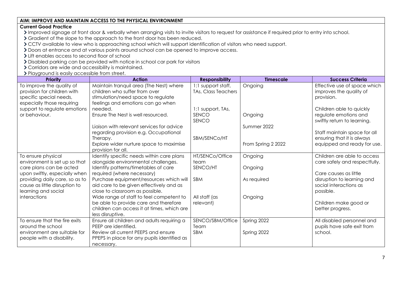#### **AIM: IMPROVE AND MAINTAIN ACCESS TO THE PHYSICAL ENVIRONMENT**

#### **Current Good Practice**

Improved signage at front door & verbally when arranging visits to invite visitors to request for assistance if required prior to entry into school.

Gradient of the slope to the approach to the front door has been reduced.

CCTV available to view who is approaching school which will support identification of visitors who need support.

Doors at entrance and at various points around school can be opened to improve access.

> Lift enables access to second floor of school

Disabled parking can be provided with notice in school car park for visitors

Corridors are wide and accessibility is maintained.

> Playground is easily accessible from street.

| <b>Priority</b>                                                                                                 | <b>Action</b>                                                                                                                                                          | <b>Responsibility</b>                     | <b>Timescale</b>                  | <b>Success Criteria</b>                                                                   |
|-----------------------------------------------------------------------------------------------------------------|------------------------------------------------------------------------------------------------------------------------------------------------------------------------|-------------------------------------------|-----------------------------------|-------------------------------------------------------------------------------------------|
| To improve the quality of<br>provision for children with<br>specific special needs,                             | Maintain tranquil area (The Nest) where<br>children who suffer from over<br>stimulation/need space to regulate                                                         | 1:1 support staff,<br>TAs, Class Teachers | Ongoing                           | Effective use of space which<br>improves the quality of<br>provision.                     |
| especially those requiring<br>support to regulate emotions<br>or behaviour.                                     | feelings and emotions can go when<br>needed.<br>Ensure The Nest is well resourced.                                                                                     | 1:1 support, TAs,<br>SENCO<br>SENCO       | Ongoing                           | Children able to quickly<br>regulate emotions and<br>swiftly return to learning.          |
|                                                                                                                 | Liaison with relevant services for advice<br>regarding provision e.g. Occupational<br>Therapy.<br>Explore wider nurture space to maximise<br>provision for all.        | SBM/SENCo/HT                              | Summer 2022<br>From Spring 2 2022 | Staff maintain space for all<br>ensuring that it is always<br>equipped and ready for use. |
| To ensure physical<br>environment is set up so that<br>care plans can be acted<br>upon swiftly, especially when | Identify specific needs within care plans<br>alongside environmental challenges.<br>Identify patterns/timetables of care<br>required (where necessary)                 | HT/SENCo/Office<br>team<br>SENCO/HT       | Ongoing<br>Ongoing                | Children are able to access<br>care safely and respectfully.<br>Care causes as little     |
| providing daily care, so as to<br>cause as little disruption to<br>learning and social<br>interactions          | Purchase equipment/resources which will<br>aid care to be given effectively and as<br>close to classroom as possible.<br>Wide range of staff to feel competent to      | SBM<br>All staff (as                      | As required<br>Ongoing            | disruption to learning and<br>social interactions as<br>possible.                         |
|                                                                                                                 | be able to provide care and therefore<br>children can access it at times, which are<br>less disruptive.                                                                | relevant)                                 |                                   | Children make good or<br>better progress.                                                 |
| To ensure that the fire exits<br>around the school<br>environment are suitable for<br>people with a disability. | Ensure all children and adults requiring a<br>PEEP are identified.<br>Review all current PEEPS and ensure<br>PPEPS in place for any pupils identified as<br>necessary. | SENCO/SBM/Office<br>Team<br>SBM           | Spring 2022<br>Spring 2022        | All disabled personnel and<br>pupils have safe exit from<br>school.                       |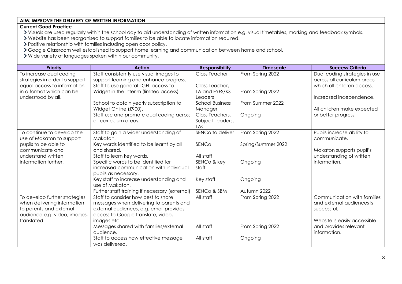## **AIM: IMPROVE THE DELIVERY OF WRITTEN INFORMATION**

#### **Current Good Practice**

- > Visuals are used regularly within the school day to aid understanding of written information e.g. visual timetables, marking and feedback symbols.
- Website has been reorganised to support families to be able to locate information required.
- > Positive relationship with families including open door policy.
- Google Classroom well established to support home learning and communication between home and school.
- Wide variety of languages spoken within our community.

| Priority                       | <b>Action</b>                                                                  | <b>Responsibility</b>  | <b>Timescale</b>   | <b>Success Criteria</b>                  |
|--------------------------------|--------------------------------------------------------------------------------|------------------------|--------------------|------------------------------------------|
| To increase dual coding        | Staff consistently use visual images to                                        | <b>Class Teacher</b>   | From Spring 2022   | Dual coding strategies in use            |
| strategies in order to support | support learning and enhance progress.                                         |                        |                    | across all curriculum areas              |
| equal access to information    | Staff to use general LGFL access to                                            | Class Teacher,         |                    | which all children access.               |
| in a format which can be       | Widget in the interim (limited access)                                         | TA and EYFS/KS1        | From Spring 2022   |                                          |
| understood by all.             |                                                                                | <b>Leaders</b>         |                    | Increased independence.                  |
|                                | School to obtain yearly subscription to                                        | <b>School Business</b> | From Summer 2022   |                                          |
|                                | Widget Online (£900).                                                          | Manager                |                    | All children make expected               |
|                                | Staff use and promote dual coding across                                       | Class Teachers,        | Ongoing            | or better progress.                      |
|                                | all curriculum areas.                                                          | Subject Leaders,       |                    |                                          |
|                                |                                                                                | TA <sub>s</sub> .      |                    |                                          |
| To continue to develop the     | Staff to gain a wider understanding of                                         | SENCo to deliver       | From Spring 2022   | Pupils increase ability to               |
| use of Makaton to support      | Makaton.                                                                       |                        |                    | communicate.                             |
| pupils to be able to           | Key words identified to be learnt by all                                       | SENCo                  | Spring/Summer 2022 |                                          |
| communicate and                | and shared.                                                                    |                        |                    | Makaton supports pupil's                 |
| understand written             | Staff to learn key words.                                                      | All staff              |                    | understanding of written<br>information. |
| information further.           | Specific words to be identified for<br>increased communication with individual | SENCo & key<br>staff   | Ongoing            |                                          |
|                                | pupils as necessary.                                                           |                        |                    |                                          |
|                                | Key staff to increase understanding and                                        | Key staff              | Ongoing            |                                          |
|                                | use of Makaton.                                                                |                        |                    |                                          |
|                                | Further staff training if necessary (external)                                 | SENCo & SBM            | Autumn 2022        |                                          |
| To develop further strategies  | Staff to consider how best to share                                            | All staff              | From Spring 2022   | Communication with families              |
| when delivering information    | messages when delivering to parents and                                        |                        |                    | and external audiences is                |
| to parents and external        | external audiences, e.g. email provides                                        |                        |                    | successful.                              |
| audience e.g. video, images,   | access to Google translate, video,                                             |                        |                    |                                          |
| translated                     | images etc.                                                                    |                        |                    | Website is easily accessible             |
|                                | Messages shared with families/external                                         | All staff              | From Spring 2022   | and provides relevant                    |
|                                | audience.                                                                      |                        |                    | information.                             |
|                                | Staff to access how effective message                                          | All staff              | Ongoing            |                                          |
|                                | was delivered.                                                                 |                        |                    |                                          |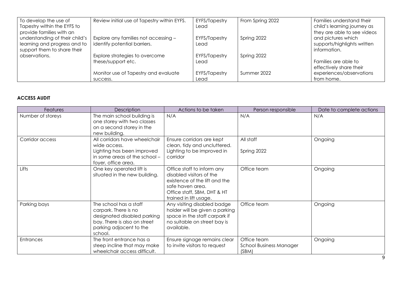| To develop the use of<br>Tapestry within the EYFS to<br>provide families with an              | Review initial use of Tapestry within EYFS.                          | EYFS/Tapestry<br>Lead        | From Spring 2022 | Families understand their<br>child's learning journey as<br>they are able to see videos |
|-----------------------------------------------------------------------------------------------|----------------------------------------------------------------------|------------------------------|------------------|-----------------------------------------------------------------------------------------|
| understanding of their child's<br>learning and progress and to<br>support them to share their | Explore any families not accessing -<br>identify potential barriers. | <b>EYFS/Tapestry</b><br>Lead | Spring 2022      | and pictures which<br>supports/highlights written<br>information.                       |
| observations.                                                                                 | Explore strategies to overcome<br>these/support etc.                 | <b>EYFS/Tapestry</b><br>Lead | Spring 2022      | Families are able to<br>effectively share their                                         |
|                                                                                               | Monitor use of Tapestry and evaluate<br>SUCCESS.                     | EYFS/Tapestry<br>Lead        | Summer 2022      | experiences/observations<br>from home.                                                  |

### **ACCESS AUDIT**

| Features          | Description                                                                                                                                         | Actions to be taken                                                                                                                                                  | Person responsible                                     | Date to complete actions |
|-------------------|-----------------------------------------------------------------------------------------------------------------------------------------------------|----------------------------------------------------------------------------------------------------------------------------------------------------------------------|--------------------------------------------------------|--------------------------|
| Number of storeys | The main school building is<br>one storey with two classes<br>on a second storey in the<br>new building.                                            | N/A                                                                                                                                                                  | N/A                                                    | N/A                      |
| Corridor access   | All corridors have wheelchair<br>wide access.<br>Lighting has been improved<br>in some areas of the school -<br>foyer, office area.                 | Ensure corridors are kept<br>clean, tidy and uncluttered.<br>Lighting to be improved in<br>corridor                                                                  | All staff<br>Spring 2022                               | Ongoing                  |
| Lifts             | One key operated lift is<br>situated in the new building.                                                                                           | Office staff to inform any<br>disabled visitors of the<br>existence of the lift and the<br>safe haven area.<br>Office staff, SBM, DHT & HT<br>trained in lift usage. | Office team                                            | Ongoing                  |
| Parking bays      | The school has a staff<br>carpark. There is no<br>designated disabled parking<br>bay. There is also on street<br>parking adjacent to the<br>school. | Any visiting disabled badge<br>holder will be given a parking<br>space in the staff carpark if<br>no suitable on street bay is<br>available.                         | Office team                                            | Ongoing                  |
| Entrances         | The front entrance has a<br>steep incline that may make<br>wheelchair access difficult.                                                             | Ensure signage remains clear<br>to invite visitors to request                                                                                                        | Office team<br><b>School Business Manager</b><br>(SBM) | Ongoing                  |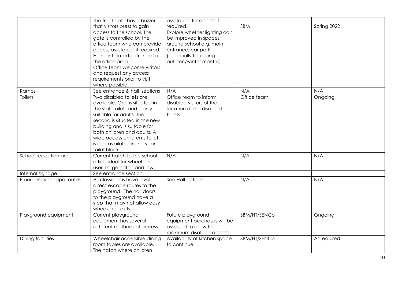|                          | The front gate has a buzzer<br>that visitors press to gain<br>access to the school. The<br>gate is controlled by the<br>office team who can provide<br>access assistance if required.<br>Highlight gated entrance to<br>the office area.<br>Office team welcome visitors<br>and request any access<br>requirements prior to visit<br>where possible. | assistance for access if<br>required.<br>Explore whether lighting can<br>be improved in spaces<br>around school e.g. main<br>entrance, car park<br>(especially for during<br>autumn/winter months) | SBM          | Spring 2022 |
|--------------------------|------------------------------------------------------------------------------------------------------------------------------------------------------------------------------------------------------------------------------------------------------------------------------------------------------------------------------------------------------|----------------------------------------------------------------------------------------------------------------------------------------------------------------------------------------------------|--------------|-------------|
| Ramps                    | See entrance & hall sections                                                                                                                                                                                                                                                                                                                         | N/A                                                                                                                                                                                                | N/A          | N/A         |
| <b>Toilets</b>           | Two disabled toilets are<br>available. One is situated in<br>the staff toilets and is only<br>suitable for adults. The<br>second is situated in the new<br>building and is suitable for<br>both children and adults. A<br>wide access children's toilet<br>is also available in the year 1<br>toilet block.                                          | Office team to inform<br>disabled visitors of the<br>location of the disabled<br>toilets.                                                                                                          | Office team  | Ongoing     |
| School reception area    | Current hatch to the school<br>office ideal for wheel chair<br>user. Large hatch and low.                                                                                                                                                                                                                                                            | N/A                                                                                                                                                                                                | N/A          | N/A         |
| Internal signage         | See entrance section.                                                                                                                                                                                                                                                                                                                                |                                                                                                                                                                                                    |              |             |
| Emergency escape routes  | All classrooms have level,<br>direct escape routes to the<br>playground. The hall doors<br>to the playground have a<br>step that may not allow easy<br>wheelchair exits.                                                                                                                                                                             | See Hall actions                                                                                                                                                                                   | N/A          | N/A         |
| Playground equipment     | Current playground<br>equipment has several<br>different methods of access.                                                                                                                                                                                                                                                                          | Future playground<br>equipment purchases will be<br>assessed to allow for<br>maximum disabled access                                                                                               | SBM/HT/SENCo | Ongoing     |
| <b>Dining facilities</b> | Wheelchair accessible dining<br>room tables are available.<br>The hatch where children                                                                                                                                                                                                                                                               | Availability of kitchen space<br>to continue.                                                                                                                                                      | SBM/HT/SENCo | As required |